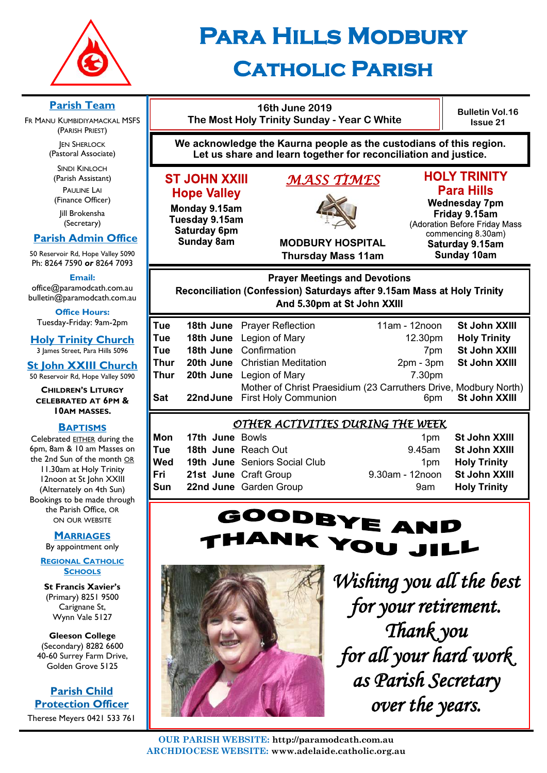

# **Para Hills Modbury Catholic Parish**

**16th June 2019 Bulletin Vol.16 The Most Holy Trinity Sunday - Year C White Issue 21 We acknowledge the Kaurna people as the custodians of this region. Let us share and learn together for reconciliation and justice. HOLY TRINITY ST JOHN XXIII** *MASS TIMES*  **Para Hills Hope Valley Wednesday 7pm** Monday 9.15am Friday 9.15am Tuesday 9.15am (Adoration Before Friday Mass Saturday 6pm commencing 8.30am) **Sunday 8am MODBURY HOSPITAL** Saturday 9.15am **Thursday Mass 11am Sunday 10am Prayer Meetings and Devotions** Reconciliation (Confession) Saturdays after 9.15am Mass at Holy Trinity And 5.30pm at St John XXIII **Tue 18th June** Prayer Reflection 11am - 12noon **St John XXIII Tue 18th June** Legion of Mary 12.30pm **Holy Trinity Tue 18th June** Confirmation **7pm St John XXIII Thur 20th June** Christian Meditation **20th - 2pm - 3pm St John XXIII Thur 20th June** Legion of Mary **7.30pm** Mother of Christ Praesidium (23 Carruthers Drive, Modbury North)<br>First Holy Communion 6pm **St John XXIII Sat 22ndJune** First Holy Communion **Stat 4.5 State State** 6pm *OTHER ACTIVITIES DURING THE WEEK*  **Mon 17th June** Bowls **1pm <b>St John XXIII Tue 18th June** Reach Out 9.45am **St John XXIII Wed 19th June** Seniors Social Club 1pm **Holy Trinity Fri 21st June** Craft Group 9.30am - 12noon **St John XXIII Sun 22nd June** Garden Group **19 Convertise 12 Convertise Sun 22nd June** Garden Group GOODBYE AND NK YOU JILL



*Wishing you all the best for your retirement. Thank you for all your hard work as Parish Secretary over the years.* 

**Parish Team** 

FR MANU KUMBIDIYAMACKAL MSFS (PARISH PRIEST)

**JEN SHERLOCK** (Pastoral Associate)

SINDI KINLOCH (Parish Assistant) PAULINE LAI (Finance Officer)

Jill Brokensha (Secretary)

# **Parish Admin Office**

50 Reservoir Rd, Hope Valley 5090 Ph: 8264 7590 *or* 8264 7093

**Email:** 

office@paramodcath.com.au bulletin@paramodcath.com.au

**Office Hours:**  Tuesday-Friday: 9am-2pm

**Holy Trinity Church** 3 James Street, Para Hills 5096

**St John XXIII Church** 50 Reservoir Rd, Hope Valley 5090

**CHILDREN'S LITURGY CELEBRATED AT 6PM & 10AM MASSES.**

#### **BAPTISMS**

Celebrated EITHER during the 6pm, 8am & 10 am Masses on the 2nd Sun of the month OR 11.30am at Holy Trinity 12noon at St John XXIII (Alternately on 4th Sun) Bookings to be made through the Parish Office, OR ON OUR WEBSITE

#### **MARRIAGES**

By appointment only

**REGIONAL CATHOLIC SCHOOLS**

**St Francis Xavier's**  (Primary) 8251 9500 Carignane St, Wynn Vale 5127

**Gleeson College**  (Secondary) 8282 6600 40-60 Surrey Farm Drive, Golden Grove 5125

**Parish Child Protection Officer** Therese Meyers 0421 533 761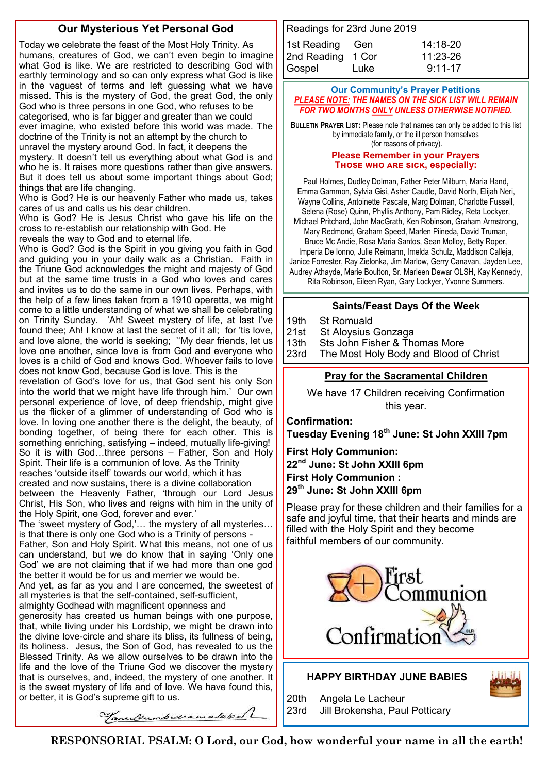### **Our Mysterious Yet Personal God**

Today we celebrate the feast of the Most Holy Trinity. As humans, creatures of God, we can't even begin to imagine what God is like. We are restricted to describing God with earthly terminology and so can only express what God is like in the vaguest of terms and left guessing what we have missed. This is the mystery of God, the great God, the only God who is three persons in one God, who refuses to be categorised, who is far bigger and greater than we could ever imagine, who existed before this world was made. The doctrine of the Trinity is not an attempt by the church to unravel the mystery around God. In fact, it deepens the mystery. It doesn't tell us everything about what God is and who he is. It raises more questions rather than give answers. But it does tell us about some important things about God; things that are life changing.

Who is God? He is our heavenly Father who made us, takes cares of us and calls us his dear children.

Who is God? He is Jesus Christ who gave his life on the cross to re-establish our relationship with God. He

reveals the way to God and to eternal life.

Who is God? God is the Spirit in you giving you faith in God and guiding you in your daily walk as a Christian. Faith in the Triune God acknowledges the might and majesty of God but at the same time trusts in a God who loves and cares and invites us to do the same in our own lives. Perhaps, with the help of a few lines taken from a 1910 operetta, we might come to a little understanding of what we shall be celebrating on Trinity Sunday. 'Ah! Sweet mystery of life, at last I've found thee; Ah! I know at last the secret of it all; for 'tis love, and love alone, the world is seeking; ''My dear friends, let us love one another, since love is from God and everyone who loves is a child of God and knows God. Whoever fails to love does not know God, because God is love. This is the

revelation of God's love for us, that God sent his only Son into the world that we might have life through him.' Our own personal experience of love, of deep friendship, might give us the flicker of a glimmer of understanding of God who is love. In loving one another there is the delight, the beauty, of bonding together, of being there for each other. This is something enriching, satisfying – indeed, mutually life-giving! So it is with God…three persons – Father, Son and Holy Spirit. Their life is a communion of love. As the Trinity reaches 'outside itself' towards our world, which it has created and now sustains, there is a divine collaboration between the Heavenly Father, 'through our Lord Jesus

Christ, His Son, who lives and reigns with him in the unity of the Holy Spirit, one God, forever and ever.'

The 'sweet mystery of God,'… the mystery of all mysteries… is that there is only one God who is a Trinity of persons - Father, Son and Holy Spirit. What this means, not one of us can understand, but we do know that in saying 'Only one God' we are not claiming that if we had more than one god the better it would be for us and merrier we would be.

And yet, as far as you and I are concerned, the sweetest of all mysteries is that the self-contained, self-sufficient, almighty Godhead with magnificent openness and

generosity has created us human beings with one purpose, that, while living under his Lordship, we might be drawn into the divine love-circle and share its bliss, its fullness of being, its holiness. Jesus, the Son of God, has revealed to us the Blessed Trinity. As we allow ourselves to be drawn into the life and the love of the Triune God we discover the mystery that is ourselves, and, indeed, the mystery of one another. It is the sweet mystery of life and of love. We have found this, or better, it is God's supreme gift to us.

| Readings for 23rd June 2019 |      |             |
|-----------------------------|------|-------------|
| 1st Reading Gen             |      | 14:18-20    |
| 2nd Reading 1 Cor           |      | 11:23-26    |
| Gospel                      | Luke | $9:11 - 17$ |

#### **Our Community's Prayer Petitions**  *PLEASE NOTE: THE NAMES ON THE SICK LIST WILL REMAIN FOR TWO MONTHS ONLY UNLESS OTHERWISE NOTIFIED.*

**BULLETIN PRAYER LIST:** Please note that names can only be added to this list by immediate family, or the ill person themselves (for reasons of privacy).

#### **Please Remember in your Prayers Those who are sick, especially:**

Paul Holmes, Dudley Dolman, Father Peter Milburn, Maria Hand, Emma Gammon, Sylvia Gisi, Asher Caudle, David North, Elijah Neri, Wayne Collins, Antoinette Pascale, Marg Dolman, Charlotte Fussell, Selena (Rose) Quinn, Phyllis Anthony, Pam Ridley, Reta Lockyer,

Michael Pritchard, John MacGrath, Ken Robinson, Graham Armstrong, Mary Redmond, Graham Speed, Marlen Piineda, David Truman, Bruce Mc Andie, Rosa Maria Santos, Sean Molloy, Betty Roper, Imperia De Ionno, Julie Reimann, Imelda Schulz, Maddison Calleja, Janice Forrester, Ray Zielonka, Jim Marlow, Gerry Canavan, Jayden Lee, Audrey Athayde, Marie Boulton, Sr. Marleen Dewar OLSH, Kay Kennedy, Rita Robinson, Eileen Ryan, Gary Lockyer, Yvonne Summers.

#### **Saints/Feast Days Of the Week**

19th St Romuald

21st St Aloysius Gonzaga

13th Sts John Fisher & Thomas More<br>23rd The Most Holy Body and Blood o The Most Holy Body and Blood of Christ

#### **Pray for the Sacramental Children**

We have 17 Children receiving Confirmation this year.

**Confirmation:** 

**Tuesday Evening 18th June: St John XXIII 7pm**

**First Holy Communion: 22nd June: St John XXIII 6pm First Holy Communion : 29th June: St John XXIII 6pm**

Please pray for these children and their families for a safe and joyful time, that their hearts and minds are filled with the Holy Spirit and they become faithful members of our community.



#### **HAPPY BIRTHDAY JUNE BABIES**

23rd Jill Brokensha, Paul Potticary

20th Angela Le Lacheur

Tanulumbedramalakal

**RESPONSORIAL PSALM: O Lord, our God, how wonderful your name in all the earth!**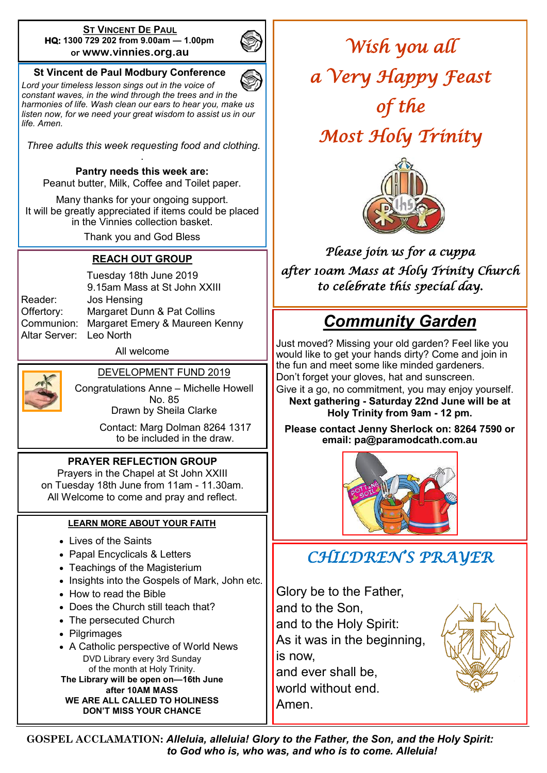#### **ST VINCENT DE PAUL HQ: 1300 729 202 from 9.00am — 1.00pm or www.vinnies.org.au**



### **St Vincent de Paul Modbury Conference**

*Lord your timeless lesson sings out in the voice of constant waves, in the wind through the trees and in the harmonies of life. Wash clean our ears to hear you, make us listen now, for we need your great wisdom to assist us in our life. Amen.*

*Three adults this week requesting food and clothing.*  .

**Pantry needs this week are:** 

Peanut butter, Milk, Coffee and Toilet paper.

Many thanks for your ongoing support. It will be greatly appreciated if items could be placed in the Vinnies collection basket.

Thank you and God Bless

### **REACH OUT GROUP**

Altar Server: Leo North

Tuesday 18th June 2019 9.15am Mass at St John XXIII Reader: Jos Hensing Offertory: Margaret Dunn & Pat Collins Communion: Margaret Emery & Maureen Kenny

All welcome



DEVELOPMENT FUND 2019

Congratulations Anne – Michelle Howell No. 85 Drawn by Sheila Clarke

> Contact: Marg Dolman 8264 1317 to be included in the draw.

#### **PRAYER REFLECTION GROUP**

Prayers in the Chapel at St John XXIII on Tuesday 18th June from 11am - 11.30am. All Welcome to come and pray and reflect.

#### **LEARN MORE ABOUT YOUR FAITH**

- Lives of the Saints
- Papal Encyclicals & Letters
- Teachings of the Magisterium
- Insights into the Gospels of Mark, John etc.
- How to read the Bible
- Does the Church still teach that?
- The persecuted Church
- Pilgrimages
- A Catholic perspective of World News DVD Library every 3rd Sunday of the month at Holy Trinity. **The Library will be open on—16th June**

**after 10AM MASS WE ARE ALL CALLED TO HOLINESS DON'T MISS YOUR CHANCE**

*Wish you all a Very Happy Feast of the* 

*Most Holy Trinity* 



*Please join us for a cuppa after 10am Mass at Holy Trinity Church to celebrate this special day.*

# *Community Garden*

Just moved? Missing your old garden? Feel like you would like to get your hands dirty? Come and join in the fun and meet some like minded gardeners. Don't forget your gloves, hat and sunscreen. Give it a go, no commitment, you may enjoy yourself. **Next gathering - Saturday 22nd June will be at Holy Trinity from 9am - 12 pm.**

**Please contact Jenny Sherlock on: 8264 7590 or email: pa@paramodcath.com.au**



# *CHILDREN'S PRAYER*

Glory be to the Father, and to the Son, and to the Holy Spirit: As it was in the beginning, is now, and ever shall be, world without end. Amen.